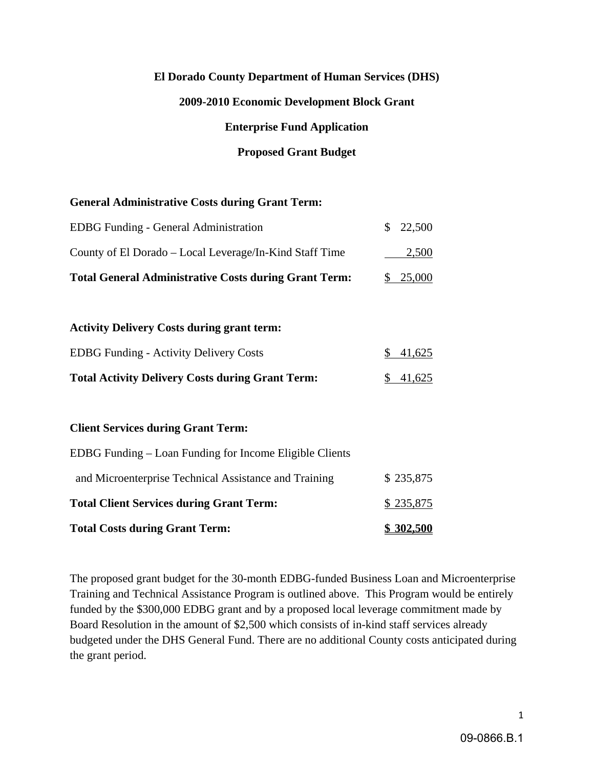# **El Dorado County Department of Human Services (DHS)**

# **2009-2010 Economic Development Block Grant**

# **Enterprise Fund Application**

# **Proposed Grant Budget**

#### **General Administrative Costs during Grant Term:**

| <b>Total General Administrative Costs during Grant Term:</b> | \$25,000           |
|--------------------------------------------------------------|--------------------|
| County of El Dorado – Local Leverage/In-Kind Staff Time      | 2,500              |
| <b>EDBG</b> Funding - General Administration                 | $\frac{$}{22,500}$ |

#### **Activity Delivery Costs during grant term:**

| <b>EDBG</b> Funding - Activity Delivery Costs           | \$41,625 |
|---------------------------------------------------------|----------|
| <b>Total Activity Delivery Costs during Grant Term:</b> | \$41,625 |

#### **Client Services during Grant Term:**

| <b>Total Costs during Grant Term:</b>                   | \$302,500 |
|---------------------------------------------------------|-----------|
| <b>Total Client Services during Grant Term:</b>         | \$235,875 |
| and Microenterprise Technical Assistance and Training   | \$235,875 |
| EDBG Funding – Loan Funding for Income Eligible Clients |           |

The proposed grant budget for the 30-month EDBG-funded Business Loan and Microenterprise Training and Technical Assistance Program is outlined above. This Program would be entirely funded by the \$300,000 EDBG grant and by a proposed local leverage commitment made by Board Resolution in the amount of \$2,500 which consists of in-kind staff services already budgeted under the DHS General Fund. There are no additional County costs anticipated during the grant period.